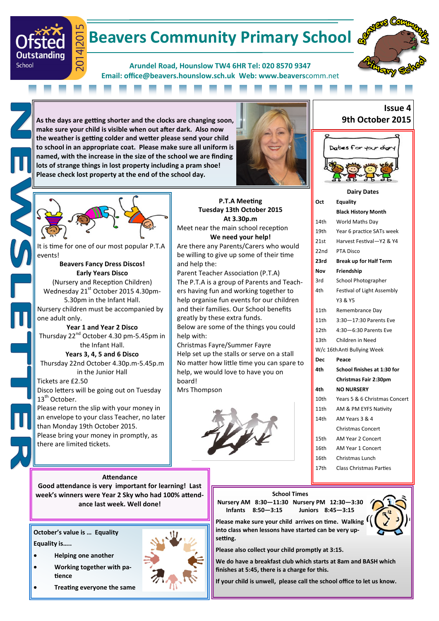# **Beavers Community Primary School &**

**Arundel Road, Hounslow TW4 6HR Tel: 020 8570 9347 Email: office@beavers.hounslow.sch.uk Web: www.beavers**comm.net



**As the days are getting shorter and the clocks are changing soon, make sure your child is visible when out after dark. Also now the weather is getting colder and wetter please send your child to school in an appropriate coat. Please make sure all uniform is named, with the increase in the size of the school we are finding lots of strange things in lost property including a pram shoe! Please check lost property at the end of the school day.**





201 ₹

 $\overline{O}$ 

Outstanding

School

It is time for one of our most popular P.T.A events! **Beavers Fancy Dress Discos! Early Years Disco** (Nursery and Reception Children) Wednesday 21<sup>st</sup> October 2015 4.30pm-5.30pm in the Infant Hall.

Nursery children must be accompanied by one adult only. **Year 1 and Year 2 Disco**

Thursday 22<sup>nd</sup> October 4.30 pm-5.45pm in the Infant Hall.

**Years 3, 4, 5 and 6 Disco** Thursday 22nd October 4.30p.m-5.45p.m in the Junior Hall

#### Tickets are £2.50 Disco letters will be going out on Tuesday  $13<sup>th</sup>$  October.

Please return the slip with your money in an envelope to your class Teacher, no later than Monday 19th October 2015. Please bring your money in promptly, as there are limited tickets.

**Attendance Good attendance is very important for learning! Last week's winners were Year 2 Sky who had 100% attendance last week. Well done!**

**October's value is … Equality Equality is…..**

- **Helping one another**
- **Working together with patience**
- **Treating everyone the same**

**P.T.A Meeting Tuesday 13th October 2015 At 3.30p.m** Meet near the main school reception **We need your help!** Are there any Parents/Carers who would be willing to give up some of their time and help the:

Parent Teacher Association (P.T.A) The P.T.A is a group of Parents and Teachers having fun and working together to help organise fun events for our children and their families. Our School benefits greatly by these extra funds.

Below are some of the things you could help with:

Christmas Fayre/Summer Fayre Help set up the stalls or serve on a stall No matter how little time you can spare to help, we would love to have you on board!

Mrs Thompson







| Oct        | Equality                       |
|------------|--------------------------------|
|            | <b>Black History Month</b>     |
| 14th       | World Maths Day                |
| 19th       | Year 6 practice SATs week      |
| 21st       | Harvest Festival-Y2 & Y4       |
| 22nd       | PTA Disco                      |
| 23rd       | <b>Break up for Half Term</b>  |
| Nov        | Friendship                     |
| 3rd        | School Photographer            |
| 4th        | Festival of Light Assembly     |
|            | Y3 & Y5                        |
| 11th       | Remembrance Day                |
| 11th       | 3:30-17:30 Parents Eve         |
| 12th       | 4:30-6:30 Parents Eve          |
| 13th       | Children in Need               |
|            | W/c 16th Anti Bullying Week    |
| <b>Dec</b> | Peace                          |
| 4th.       | School finishes at 1:30 for    |
|            | <b>Christmas Fair 2:30pm</b>   |
| 4th        | <b>NO NURSERY</b>              |
| 10th       | Years 5 & 6 Christmas Concert  |
| 11th       | AM & PM EYFS Nativity          |
| 14th       | AM Years 3 & 4                 |
|            | <b>Christmas Concert</b>       |
| 15th       | AM Year 2 Concert              |
| 16th       | <b>AM Year 1 Concert</b>       |
| 16th       | Christmas Lunch                |
| 17th       | <b>Class Christmas Parties</b> |

**School Times**

**Nursery AM 8:30—11:30 Nursery PM 12:30—3:30 Infants 8:50—3:15 Juniors 8:45—3:15**



**Please make sure your child arrives on time. Walking into class when lessons have started can be very upsetting.**

**Please also collect your child promptly at 3:15.**

**We do have a breakfast club which starts at 8am and BASH which finishes at 5:45, there is a charge for this.**

**If your child is unwell, please call the school office to let us know.**